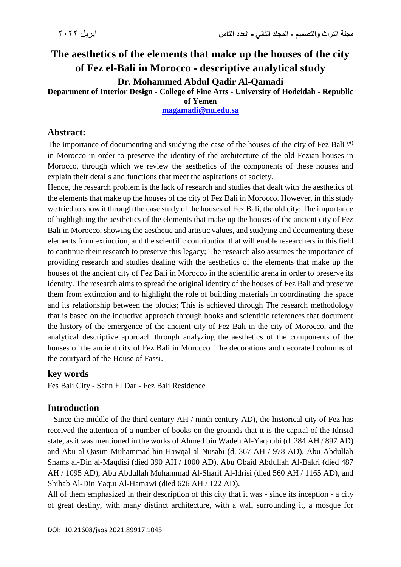# **The aesthetics of the elements that make up the houses of the city of Fez el-Bali in Morocco - descriptive analytical study Dr. Mohammed Abdul Qadir Al-Qamadi**

**Department of Interior Design - College of Fine Arts - University of Hodeidah - Republic** 

#### **of Yemen**

**[magamadi@nu.edu.sa](mailto:magamadi@nu.edu.sa)**

### **Abstract:**

The importance of documenting and studying the case of the houses of the city of Fez Bali **()** in Morocco in order to preserve the identity of the architecture of the old Fezian houses in Morocco, through which we review the aesthetics of the components of these houses and explain their details and functions that meet the aspirations of society.

Hence, the research problem is the lack of research and studies that dealt with the aesthetics of the elements that make up the houses of the city of Fez Bali in Morocco. However, in this study we tried to show it through the case study of the houses of Fez Bali, the old city; The importance of highlighting the aesthetics of the elements that make up the houses of the ancient city of Fez Bali in Morocco, showing the aesthetic and artistic values, and studying and documenting these elements from extinction, and the scientific contribution that will enable researchers in this field to continue their research to preserve this legacy; The research also assumes the importance of providing research and studies dealing with the aesthetics of the elements that make up the houses of the ancient city of Fez Bali in Morocco in the scientific arena in order to preserve its identity. The research aims to spread the original identity of the houses of Fez Bali and preserve them from extinction and to highlight the role of building materials in coordinating the space and its relationship between the blocks; This is achieved through The research methodology that is based on the inductive approach through books and scientific references that document the history of the emergence of the ancient city of Fez Bali in the city of Morocco, and the analytical descriptive approach through analyzing the aesthetics of the components of the houses of the ancient city of Fez Bali in Morocco. The decorations and decorated columns of the courtyard of the House of Fassi.

#### **key words**

Fes Bali City - Sahn El Dar - Fez Bali Residence

# **Introduction**

 Since the middle of the third century AH / ninth century AD), the historical city of Fez has received the attention of a number of books on the grounds that it is the capital of the Idrisid state, as it was mentioned in the works of Ahmed bin Wadeh Al-Yaqoubi (d. 284 AH / 897 AD) and Abu al-Qasim Muhammad bin Hawqal al-Nusabi (d. 367 AH / 978 AD), Abu Abdullah Shams al-Din al-Maqdisi (died 390 AH / 1000 AD), Abu Obaid Abdullah Al-Bakri (died 487 AH / 1095 AD), Abu Abdullah Muhammad Al-Sharif Al-Idrisi (died 560 AH / 1165 AD), and Shihab Al-Din Yaqut Al-Hamawi (died 626 AH / 122 AD).

All of them emphasized in their description of this city that it was - since its inception - a city of great destiny, with many distinct architecture, with a wall surrounding it, a mosque for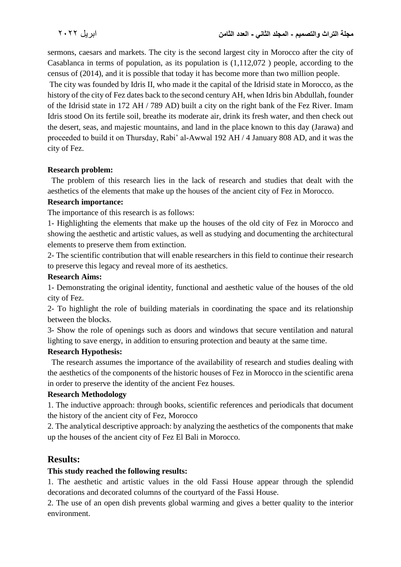sermons, caesars and markets. The city is the second largest city in Morocco after the city of Casablanca in terms of population, as its population is (1,112,072 ) people, according to the census of (2014), and it is possible that today it has become more than two million people.

The city was founded by Idris II, who made it the capital of the Idrisid state in Morocco, as the history of the city of Fez dates back to the second century AH, when Idris bin Abdullah, founder of the Idrisid state in 172 AH / 789 AD) built a city on the right bank of the Fez River. Imam Idris stood On its fertile soil, breathe its moderate air, drink its fresh water, and then check out the desert, seas, and majestic mountains, and land in the place known to this day (Jarawa) and proceeded to build it on Thursday, Rabi' al-Awwal 192 AH / 4 January 808 AD, and it was the city of Fez.

#### **Research problem:**

 The problem of this research lies in the lack of research and studies that dealt with the aesthetics of the elements that make up the houses of the ancient city of Fez in Morocco.

#### **Research importance:**

The importance of this research is as follows:

1- Highlighting the elements that make up the houses of the old city of Fez in Morocco and showing the aesthetic and artistic values, as well as studying and documenting the architectural elements to preserve them from extinction.

2- The scientific contribution that will enable researchers in this field to continue their research to preserve this legacy and reveal more of its aesthetics.

#### **Research Aims:**

1- Demonstrating the original identity, functional and aesthetic value of the houses of the old city of Fez.

2- To highlight the role of building materials in coordinating the space and its relationship between the blocks.

3- Show the role of openings such as doors and windows that secure ventilation and natural lighting to save energy, in addition to ensuring protection and beauty at the same time.

#### **Research Hypothesis:**

 The research assumes the importance of the availability of research and studies dealing with the aesthetics of the components of the historic houses of Fez in Morocco in the scientific arena in order to preserve the identity of the ancient Fez houses.

#### **Research Methodology**

1. The inductive approach: through books, scientific references and periodicals that document the history of the ancient city of Fez, Morocco

2. The analytical descriptive approach: by analyzing the aesthetics of the components that make up the houses of the ancient city of Fez El Bali in Morocco.

# **Results:**

#### **This study reached the following results:**

1. The aesthetic and artistic values in the old Fassi House appear through the splendid decorations and decorated columns of the courtyard of the Fassi House.

2. The use of an open dish prevents global warming and gives a better quality to the interior environment.